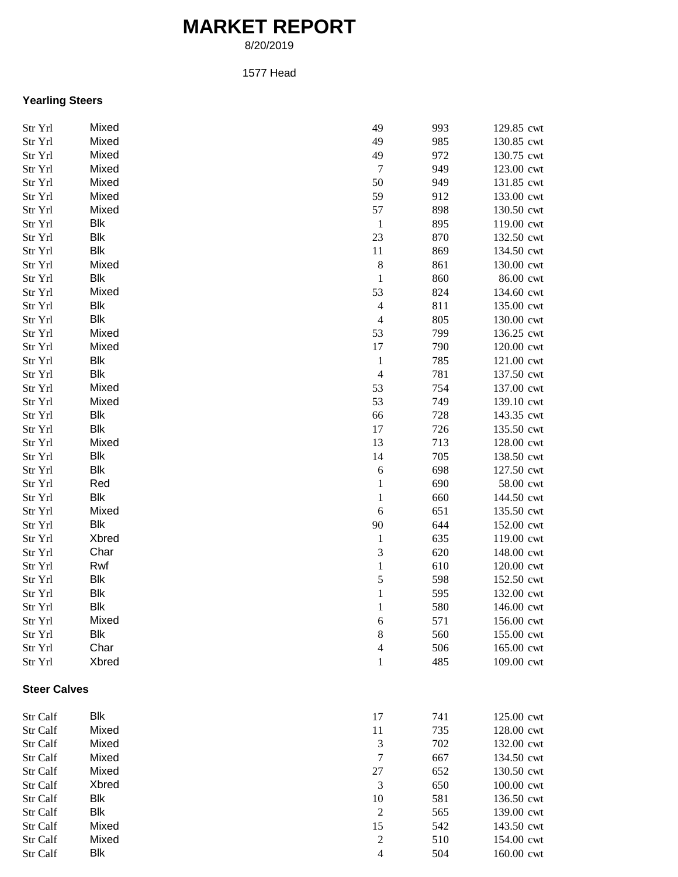## **MARKET REPORT**

8/20/2019

## 1577 Head

## **Yearling Steers**

| Str Yrl             | Mixed      | 49             | 993 | 129.85 cwt |
|---------------------|------------|----------------|-----|------------|
| Str Yrl             | Mixed      | 49             | 985 | 130.85 cwt |
| Str Yrl             | Mixed      | 49             | 972 | 130.75 cwt |
| Str Yrl             | Mixed      | $\tau$         | 949 | 123.00 cwt |
| Str Yrl             | Mixed      | 50             | 949 | 131.85 cwt |
| Str Yrl             | Mixed      | 59             | 912 | 133.00 cwt |
| Str Yrl             | Mixed      | 57             | 898 | 130.50 cwt |
| Str Yrl             | Blk        | $\mathbf{1}$   | 895 | 119.00 cwt |
| Str Yrl             | <b>Blk</b> | 23             | 870 | 132.50 cwt |
| Str Yrl             | <b>Blk</b> | 11             | 869 | 134.50 cwt |
| Str Yrl             | Mixed      | $\,8\,$        | 861 | 130.00 cwt |
| Str Yrl             | Blk        | $\mathbf{1}$   | 860 | 86.00 cwt  |
| Str Yrl             | Mixed      | 53             | 824 | 134.60 cwt |
| Str Yrl             | Blk        | $\overline{4}$ | 811 | 135.00 cwt |
| Str Yrl             | Blk        | $\overline{4}$ | 805 | 130.00 cwt |
| Str Yrl             | Mixed      | 53             | 799 | 136.25 cwt |
| Str Yrl             | Mixed      | 17             | 790 | 120.00 cwt |
| Str Yrl             | Blk        | $\mathbf{1}$   | 785 | 121.00 cwt |
| Str Yrl             | Blk        | $\overline{4}$ | 781 | 137.50 cwt |
| Str Yrl             | Mixed      | 53             | 754 | 137.00 cwt |
| Str Yrl             | Mixed      | 53             | 749 | 139.10 cwt |
| Str Yrl             | Blk        | 66             | 728 | 143.35 cwt |
| Str Yrl             | Blk        | 17             | 726 | 135.50 cwt |
| Str Yrl             | Mixed      | 13             | 713 | 128.00 cwt |
| Str Yrl             | Blk        | 14             | 705 | 138.50 cwt |
| Str Yrl             | Blk        | $\sqrt{6}$     | 698 | 127.50 cwt |
| Str Yrl             | Red        | $\mathbf 1$    | 690 | 58.00 cwt  |
| Str Yrl             | Blk        | $\mathbf{1}$   | 660 | 144.50 cwt |
| Str Yrl             | Mixed      | $\sqrt{6}$     | 651 | 135.50 cwt |
| Str Yrl             | Blk        | 90             | 644 | 152.00 cwt |
| Str Yrl             | Xbred      | $\mathbf{1}$   | 635 | 119.00 cwt |
| Str Yrl             | Char       | 3              | 620 | 148.00 cwt |
| Str Yrl             | Rwf        | $\mathbf 1$    | 610 | 120.00 cwt |
| Str Yrl             | Blk        | 5              | 598 | 152.50 cwt |
| Str Yrl             | Blk        | $\,1\,$        | 595 | 132.00 cwt |
| Str Yrl             | Blk        | $\,1\,$        | 580 | 146.00 cwt |
| Str Yrl             | Mixed      | $\sqrt{6}$     | 571 | 156.00 cwt |
| Str Yrl             | Blk        | $\,8\,$        | 560 | 155.00 cwt |
| Str Yrl             | Char       | $\overline{4}$ | 506 | 165.00 cwt |
| Str Yrl             | Xbred      | $\mathbf{1}$   | 485 | 109.00 cwt |
|                     |            |                |     |            |
| <b>Steer Calves</b> |            |                |     |            |
| Str Calf            | Blk        | 17             | 741 | 125.00 cwt |
| Str Calf            | Mixed      | 11             | 735 | 128.00 cwt |
| Str Calf            | Mixed      | 3              | 702 | 132.00 cwt |
| Str Calf            | Mixed      | $\tau$         | 667 | 134.50 cwt |
| Str Calf            | Mixed      | $27\,$         | 652 | 130.50 cwt |
| Str Calf            | Xbred      | $\mathfrak{Z}$ | 650 | 100.00 cwt |
| Str Calf            | Blk        | 10             | 581 | 136.50 cwt |
| Str Calf            | Blk        | $\mathfrak{2}$ | 565 | 139.00 cwt |
| Str Calf            | Mixed      | 15             | 542 | 143.50 cwt |
| Str Calf            | Mixed      | $\overline{c}$ | 510 | 154.00 cwt |
| Str Calf            | Blk        | $\overline{4}$ | 504 | 160.00 cwt |
|                     |            |                |     |            |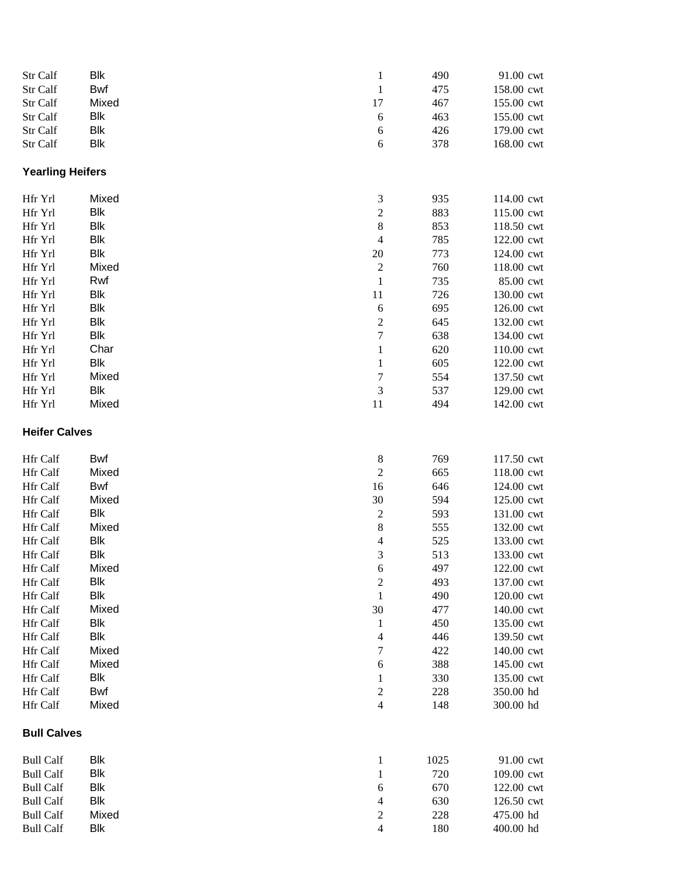| Str Calf                | Blk        |                  | 490  | 91.00 cwt  |
|-------------------------|------------|------------------|------|------------|
|                         | Bwf        | $\mathbf{1}$     |      |            |
| Str Calf                |            | $\mathbf{1}$     | 475  | 158.00 cwt |
| Str Calf                | Mixed      | 17               | 467  | 155.00 cwt |
| Str Calf                | Blk        | 6                | 463  | 155.00 cwt |
| Str Calf                | Blk        | 6                | 426  | 179.00 cwt |
| Str Calf                | Blk        | 6                | 378  | 168.00 cwt |
| <b>Yearling Heifers</b> |            |                  |      |            |
| Hfr Yrl                 | Mixed      | $\mathfrak{Z}$   | 935  | 114.00 cwt |
| Hfr Yrl                 | Blk        | $\overline{c}$   | 883  | 115.00 cwt |
| Hfr Yrl                 | <b>Blk</b> | $\,8\,$          | 853  | 118.50 cwt |
| Hfr Yrl                 | <b>Blk</b> | $\overline{4}$   | 785  | 122.00 cwt |
| Hfr Yrl                 | <b>Blk</b> | 20               | 773  | 124.00 cwt |
| Hfr Yrl                 | Mixed      | $\overline{c}$   | 760  | 118.00 cwt |
| Hfr Yrl                 | Rwf        | $\mathbf{1}$     | 735  | 85.00 cwt  |
| Hfr Yrl                 | Blk        | 11               | 726  | 130.00 cwt |
| Hfr Yrl                 | Blk        | 6                | 695  | 126.00 cwt |
| Hfr Yrl                 | Blk        | $\overline{c}$   | 645  | 132.00 cwt |
| Hfr Yrl                 | <b>Blk</b> | $\boldsymbol{7}$ | 638  | 134.00 cwt |
| Hfr Yrl                 | Char       | $\mathbf{1}$     | 620  | 110.00 cwt |
| Hfr Yrl                 | Blk        | $\mathbf{1}$     | 605  | 122.00 cwt |
| Hfr Yrl                 | Mixed      | $\boldsymbol{7}$ | 554  | 137.50 cwt |
| Hfr Yrl                 | <b>Blk</b> | 3                | 537  | 129.00 cwt |
| Hfr Yrl                 | Mixed      | 11               | 494  | 142.00 cwt |
| <b>Heifer Calves</b>    |            |                  |      |            |
| Hfr Calf                | Bwf        | $\boldsymbol{8}$ | 769  | 117.50 cwt |
| Hfr Calf                | Mixed      | $\sqrt{2}$       | 665  | 118.00 cwt |
| Hfr Calf                | Bwf        | 16               | 646  | 124.00 cwt |
| Hfr Calf                | Mixed      | 30               | 594  | 125.00 cwt |
| Hfr Calf                | Blk        | $\sqrt{2}$       | 593  | 131.00 cwt |
| Hfr Calf                | Mixed      | 8                | 555  | 132.00 cwt |
| Hfr Calf                | Blk        | 4                | 525  | 133.00 cwt |
| Hfr Calf                | <b>Blk</b> | 3                | 513  | 133.00 cwt |
| Hfr Calf                | Mixed      | 6                | 497  | 122.00 cwt |
| Hfr Calf                | Blk        | $\overline{c}$   | 493  | 137.00 cwt |
| Hfr Calf                | Blk        | $\mathbf 1$      | 490  | 120.00 cwt |
| Hfr Calf                | Mixed      | 30               | 477  | 140.00 cwt |
| Hfr Calf                | Blk        | $\mathbf{1}$     | 450  | 135.00 cwt |
| Hfr Calf                | Blk        | 4                | 446  | 139.50 cwt |
| Hfr Calf                | Mixed      | 7                | 422  | 140.00 cwt |
| Hfr Calf                | Mixed      | 6                | 388  | 145.00 cwt |
| Hfr Calf                | Blk        | $\mathbf{1}$     | 330  | 135.00 cwt |
| Hfr Calf                | Bwf        | $\boldsymbol{2}$ | 228  | 350.00 hd  |
| Hfr Calf                | Mixed      | $\overline{4}$   | 148  | 300.00 hd  |
| <b>Bull Calves</b>      |            |                  |      |            |
| <b>Bull Calf</b>        | Blk        | 1                | 1025 | 91.00 cwt  |
| <b>Bull Calf</b>        | Blk        | 1                | 720  | 109.00 cwt |
| <b>Bull Calf</b>        | Blk        | 6                | 670  | 122.00 cwt |
| <b>Bull Calf</b>        | Blk        | 4                | 630  | 126.50 cwt |
| <b>Bull Calf</b>        | Mixed      | $\boldsymbol{2}$ | 228  | 475.00 hd  |
| <b>Bull Calf</b>        | Blk        | 4                | 180  | 400.00 hd  |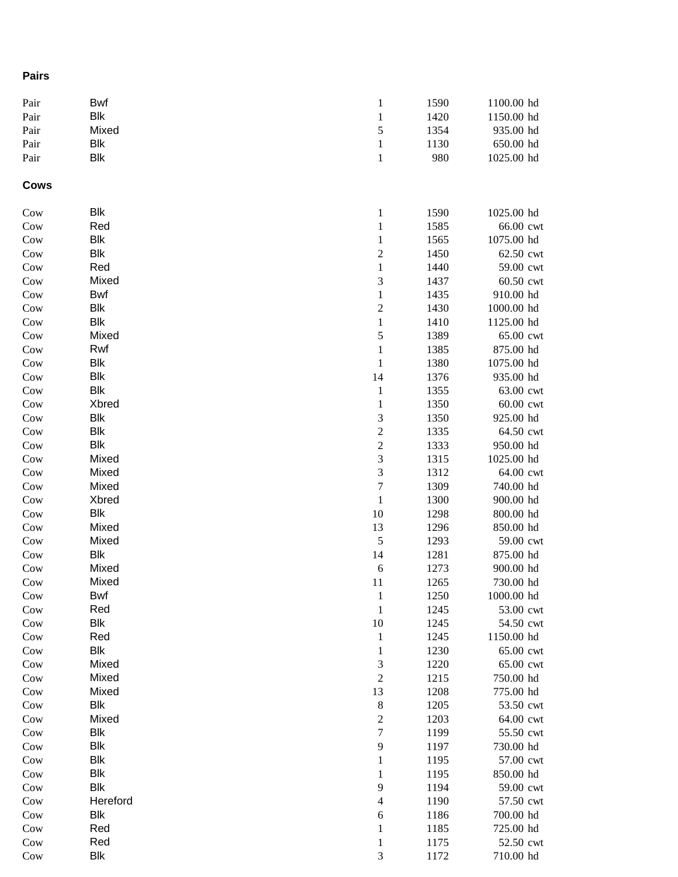## **Pairs**

| Pair        | Bwf        | $\mathbf{1}$            | 1590 | 1100.00 hd |
|-------------|------------|-------------------------|------|------------|
| Pair        | Blk        | $\mathbf{1}$            | 1420 | 1150.00 hd |
| Pair        | Mixed      | 5                       | 1354 | 935.00 hd  |
| Pair        | Blk        | $\,1$                   | 1130 | 650.00 hd  |
| Pair        | <b>Blk</b> | $\,1$                   | 980  | 1025.00 hd |
| <b>Cows</b> |            |                         |      |            |
| Cow         | Blk        | $\mathbf{1}$            | 1590 | 1025.00 hd |
| Cow         | Red        | $\mathbf{1}$            | 1585 | 66.00 cwt  |
| Cow         | Blk        | $\mathbf{1}$            | 1565 | 1075.00 hd |
| Cow         | Blk        | $\boldsymbol{2}$        | 1450 | 62.50 cwt  |
| Cow         | Red        | $\,1$                   | 1440 | 59.00 cwt  |
| Cow         | Mixed      | 3                       | 1437 | 60.50 cwt  |
| Cow         | Bwf        | $\mathbf{1}$            | 1435 | 910.00 hd  |
| Cow         | Blk        | $\overline{\mathbf{c}}$ | 1430 | 1000.00 hd |
| Cow         | Blk        | $\,1\,$                 | 1410 | 1125.00 hd |
| Cow         | Mixed      | 5                       | 1389 | 65.00 cwt  |
| Cow         | Rwf        | $\,1\,$                 | 1385 | 875.00 hd  |
| Cow         | Blk        | $\,1\,$                 | 1380 | 1075.00 hd |
| Cow         | Blk        | 14                      | 1376 | 935.00 hd  |
| Cow         | Blk        | $\,1$                   | 1355 | 63.00 cwt  |
| Cow         | Xbred      | $\,1$                   | 1350 | 60.00 cwt  |
| Cow         | <b>Blk</b> | 3                       | 1350 | 925.00 hd  |
| Cow         | <b>Blk</b> | $\overline{c}$          | 1335 | 64.50 cwt  |
| Cow         | <b>Blk</b> | $\overline{c}$          | 1333 | 950.00 hd  |
| Cow         | Mixed      | $\overline{\mathbf{3}}$ | 1315 | 1025.00 hd |
| Cow         | Mixed      | 3                       | 1312 | 64.00 cwt  |
| Cow         | Mixed      | $\overline{7}$          | 1309 | 740.00 hd  |
| Cow         | Xbred      | $\,1\,$                 | 1300 | 900.00 hd  |
| Cow         | Blk        | 10                      | 1298 | 800.00 hd  |
| Cow         | Mixed      | 13                      | 1296 | 850.00 hd  |
| Cow         | Mixed      | $\sqrt{5}$              | 1293 | 59.00 cwt  |
| Cow         | Blk        | 14                      | 1281 | 875.00 hd  |
| Cow         | Mixed      | 6                       | 1273 | 900.00 hd  |
| Cow         | Mixed      | 11                      | 1265 | 730.00 hd  |
| Cow         | Bwf        | $\,1$                   | 1250 | 1000.00 hd |
| Cow         | Red        | $\,1\,$                 | 1245 | 53.00 cwt  |
| Cow         | Blk        | 10                      | 1245 | 54.50 cwt  |
| Cow         | Red        | 1                       | 1245 | 1150.00 hd |
| Cow         | Blk        | $\mathbf 1$             | 1230 | 65.00 cwt  |
| Cow         | Mixed      | 3                       | 1220 | 65.00 cwt  |
| Cow         | Mixed      | $\overline{c}$          | 1215 | 750.00 hd  |
| Cow         | Mixed      | 13                      | 1208 | 775.00 hd  |
| Cow         | <b>Blk</b> | $\,8\,$                 | 1205 | 53.50 cwt  |
| Cow         | Mixed      | $\mathbf{2}$            | 1203 | 64.00 cwt  |
| Cow         | Blk        | 7                       | 1199 | 55.50 cwt  |
| Cow         | Blk        | 9                       | 1197 | 730.00 hd  |
| Cow         | Blk        | $\mathbf{1}$            | 1195 | 57.00 cwt  |
| Cow         | Blk        | 1                       | 1195 | 850.00 hd  |
| Cow         | Blk        | 9                       | 1194 | 59.00 cwt  |
| Cow         | Hereford   | $\overline{\mathbf{4}}$ | 1190 | 57.50 cwt  |
| Cow         | Blk        | 6                       | 1186 | 700.00 hd  |
| Cow         | Red        | $\mathbf 1$             | 1185 | 725.00 hd  |
| Cow         | Red        | $\mathbf 1$             | 1175 | 52.50 cwt  |
| Cow         | <b>Blk</b> | 3                       | 1172 | 710.00 hd  |
|             |            |                         |      |            |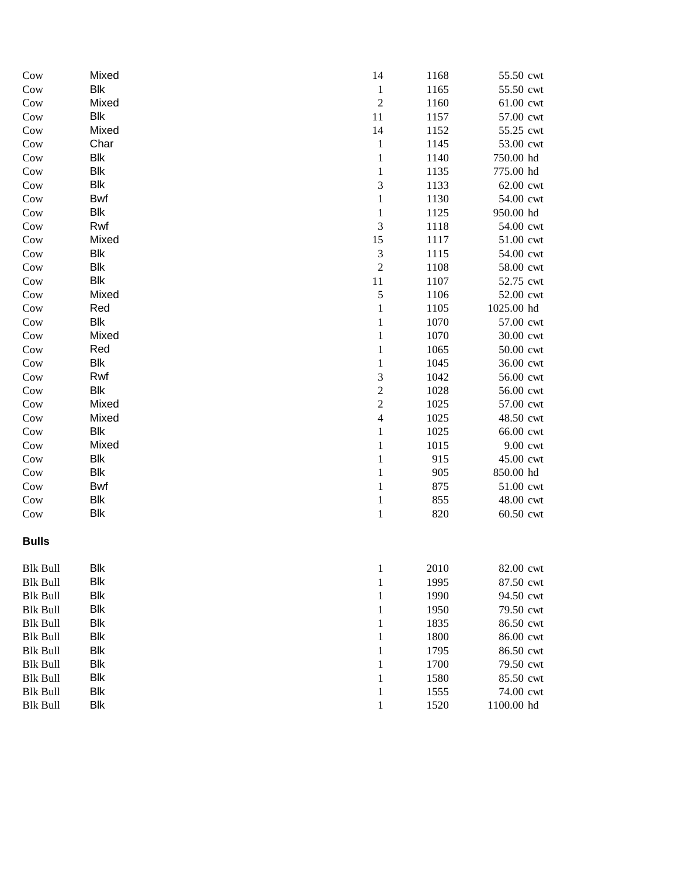| Cow             | Mixed      | 14                       | 1168 | 55.50 cwt  |
|-----------------|------------|--------------------------|------|------------|
| Cow             | Blk        | $\mathbf{1}$             | 1165 | 55.50 cwt  |
| Cow             | Mixed      | $\overline{c}$           | 1160 | 61.00 cwt  |
| Cow             | Blk        | $11\,$                   | 1157 | 57.00 cwt  |
| Cow             | Mixed      | 14                       | 1152 | 55.25 cwt  |
| Cow             | Char       | $\mathbf{1}$             | 1145 | 53.00 cwt  |
| Cow             | Blk        | $\mathbf 1$              | 1140 | 750.00 hd  |
| Cow             | Blk        | $\mathbf{1}$             | 1135 | 775.00 hd  |
| Cow             | Blk        | 3                        | 1133 | 62.00 cwt  |
| Cow             | Bwf        | $\mathbf{1}$             | 1130 | 54.00 cwt  |
| Cow             | Blk        | $\,1$                    | 1125 | 950.00 hd  |
| Cow             | Rwf        | 3                        | 1118 | 54.00 cwt  |
| Cow             | Mixed      | 15                       | 1117 | 51.00 cwt  |
| Cow             | Blk        | $\mathfrak{Z}$           | 1115 | 54.00 cwt  |
| Cow             | Blk        | $\overline{c}$           | 1108 | 58.00 cwt  |
| Cow             | Blk        | $11\,$                   | 1107 | 52.75 cwt  |
| Cow             | Mixed      | 5                        | 1106 | 52.00 cwt  |
| Cow             | Red        | $\mathbf{1}$             | 1105 | 1025.00 hd |
| Cow             | Blk        | $\mathbf{1}$             | 1070 | 57.00 cwt  |
| Cow             | Mixed      | $\mathbf{1}$             | 1070 | 30.00 cwt  |
| Cow             | Red        | $\mathbf{1}$             | 1065 | 50.00 cwt  |
| Cow             | Blk        | $\mathbf 1$              | 1045 | 36.00 cwt  |
| Cow             | Rwf        | 3                        | 1042 | 56.00 cwt  |
| Cow             | Blk        | $\overline{c}$           | 1028 | 56.00 cwt  |
| Cow             | Mixed      | $\overline{c}$           | 1025 | 57.00 cwt  |
| Cow             | Mixed      | $\overline{\mathcal{L}}$ | 1025 | 48.50 cwt  |
| Cow             | Blk        | $\mathbf{1}$             | 1025 | 66.00 cwt  |
| Cow             | Mixed      | $\,1$                    | 1015 | 9.00 cwt   |
| Cow             | Blk        | $\,1$                    | 915  | 45.00 cwt  |
| Cow             | <b>Blk</b> | $\,1$                    | 905  | 850.00 hd  |
| Cow             | Bwf        | $\,1$                    | 875  | 51.00 cwt  |
| Cow             | Blk        | $\,1$                    | 855  | 48.00 cwt  |
| Cow             | Blk        | $\,1$                    | 820  | 60.50 cwt  |
| <b>Bulls</b>    |            |                          |      |            |
| Blk Bull        | Blk        | 1                        | 2010 | 82.00 cwt  |
| <b>Blk Bull</b> | Blk        | $\mathbf 1$              | 1995 | 87.50 cwt  |
| <b>Blk Bull</b> | Blk        | 1                        | 1990 | 94.50 cwt  |
| <b>Blk Bull</b> | <b>Blk</b> | 1                        | 1950 | 79.50 cwt  |
| <b>Blk Bull</b> | <b>Blk</b> | 1                        | 1835 | 86.50 cwt  |
| <b>Blk Bull</b> | Blk        | 1                        | 1800 | 86.00 cwt  |
| <b>Blk Bull</b> | Blk        | 1                        | 1795 | 86.50 cwt  |
| <b>Blk Bull</b> | <b>Blk</b> | 1                        | 1700 | 79.50 cwt  |
| <b>Blk Bull</b> | <b>Blk</b> | $\mathbf 1$              | 1580 | 85.50 cwt  |
| <b>Blk Bull</b> | <b>Blk</b> | $\mathbf{1}$             | 1555 | 74.00 cwt  |
| <b>Blk Bull</b> | <b>Blk</b> | $\mathbf{1}$             | 1520 | 1100.00 hd |
|                 |            |                          |      |            |